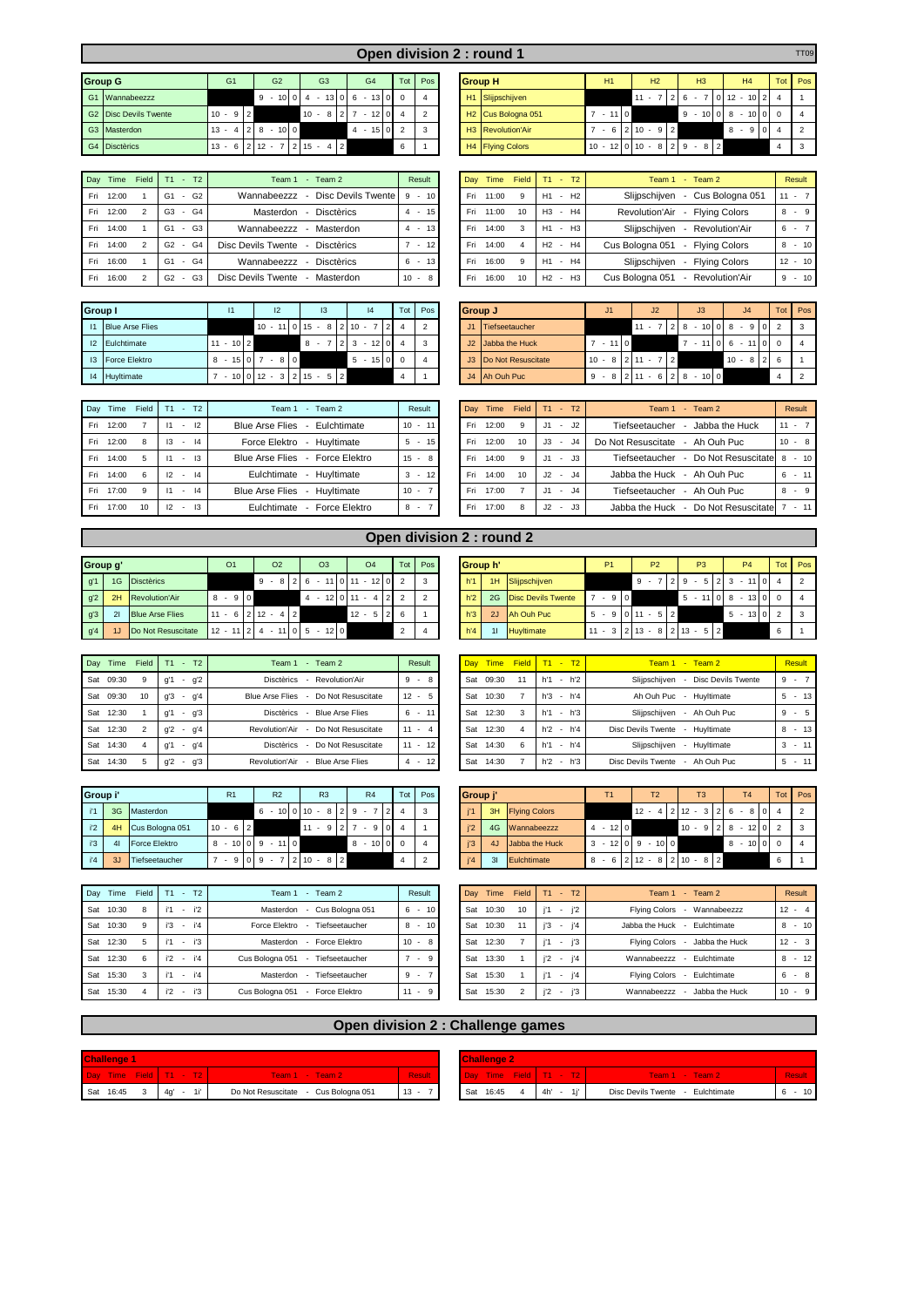|                |                           |    |                               |                |    |   |                 |          |    |   |                |                |   |                              |                 |          |                | <b>Open divisio</b> |
|----------------|---------------------------|----|-------------------------------|----------------|----|---|-----------------|----------|----|---|----------------|----------------|---|------------------------------|-----------------|----------|----------------|---------------------|
|                |                           |    |                               |                |    |   |                 |          |    |   |                |                |   |                              |                 |          |                |                     |
|                | <b>Group G</b>            |    | G <sub>1</sub>                |                |    |   | G <sub>2</sub>  |          |    |   | G <sub>3</sub> |                |   |                              | G <sub>4</sub>  |          | Tot            | Pos                 |
| G <sub>1</sub> | Wannabeezzz               |    |                               |                | 9  | - | 10 <sup>1</sup> | $\Omega$ |    | - | 13             |                | 6 | -                            | 13              | $\Omega$ | $\Omega$       |                     |
| G2             | <b>Disc Devils Twente</b> | 10 | 9<br>$\overline{\phantom{a}}$ | $\mathfrak{p}$ |    |   |                 |          | 10 |   | 8              |                |   | $\qquad \qquad \blacksquare$ | 12 <sub>1</sub> | $\Omega$ | $\overline{4}$ | $\mathfrak{p}$      |
| G <sub>3</sub> | Masterdon                 | 13 | $\overline{4}$<br>٠           | $\overline{2}$ | 8  |   | $-100$          |          |    |   |                |                | 4 | ٠                            | 15              |          | $\mathfrak{p}$ | з                   |
| G <sub>4</sub> | <b>Disctèrics</b>         | 13 | 6<br>$\overline{\phantom{a}}$ | $\mathcal{P}$  | 12 |   |                 |          | 15 |   |                | $\overline{2}$ |   |                              |                 |          | 6              |                     |

| Dav | Time  | Field | $- T2$<br>T <sub>1</sub>             | Team 2<br>Team 1<br>$\sim$              | Result                   | Dav | Time  | <b>Field</b> | $T1 - T2$                       | Team $1 -$ Team $2$                 | Result    |
|-----|-------|-------|--------------------------------------|-----------------------------------------|--------------------------|-----|-------|--------------|---------------------------------|-------------------------------------|-----------|
| Fri | 12:00 |       | $-$ G <sub>2</sub><br>G <sub>1</sub> | Disc Devils Twente<br>Wannabeezzz       | $9 - 10$                 | Fri | 11:00 | 9            | $-H2$<br>H <sub>1</sub>         | Cus Bologna 051<br>Sliipschiiven    | $11 - 7$  |
| Fri | 12:00 |       | $-$ G4<br>G3                         | <b>Disctèrics</b><br>Masterdon          | $4 - 15$                 | Fri | 11:00 | 10           | $-H4$<br>H3                     | Revolution'Air<br>- Flving Colors   | $8 - 9$   |
| Fri | 14:00 |       | $-G3$<br>G <sub>1</sub>              | Wannabeezzz<br>Masterdon                | 13 <sup>1</sup><br>$4 -$ | Fri | 14:00 | 3            | $- H3$<br>H1                    | Sliipschiiven<br>- Revolution'Air   | $6 - 7$   |
| Fri | 14:00 |       | - G4<br>G2                           | Disc Devils Twente<br><b>Disctèrics</b> | 12<br>$\sim$             | Fri | 14:00 | 4            | H <sub>2</sub> - H <sub>4</sub> | Cus Bologna 051<br>- Flying Colors  | $8 - 10$  |
| Fri | 16:00 |       | - G4<br>G <sub>1</sub>               | Wannabeezzz<br><b>Disctèrics</b>        | $6 - 13$                 | Fri | 16:00 | 9            | $-H4$<br>H1                     | Sliipschiiven<br>- Flying Colors    | $12 - 10$ |
| Fri | 16:00 |       | - G3<br>G2                           | Disc Devils Twente<br>Masterdon         | $10 - 8$                 | Fri | 16:00 | 10           | H <sub>2</sub> - H <sub>3</sub> | Cus Bologna 051<br>- Revolution'Air | $9 - 10$  |

| Group I         |                        | 11                                          |                |            | 12 |                |        |                          | 13 |                |        |                          | 4  | Tot | Pos |
|-----------------|------------------------|---------------------------------------------|----------------|------------|----|----------------|--------|--------------------------|----|----------------|--------|--------------------------|----|-----|-----|
| $\overline{11}$ | <b>Blue Arse Flies</b> |                                             |                | $10 - 110$ |    |                | $15 -$ |                          | 8  | 2              | $10 -$ |                          |    |     | っ   |
| 12              | Eulchtimate            | 10 <sup>1</sup><br>$\overline{\phantom{a}}$ | $\mathfrak{p}$ |            |    |                | 8      |                          |    |                | 3      | $\overline{\phantom{a}}$ | 12 |     | 3   |
| 13              | <b>Force Elektro</b>   | 15<br>8<br>$\sim$                           |                |            | 8  |                |        |                          |    |                | 5      | $\sim$                   | 15 |     |     |
| 4               | Huyltimate             | $-10 0 $                                    |                | $12 - 3$   |    | 2 <sub>1</sub> | 15     | $\overline{\phantom{a}}$ | 5  | $\overline{2}$ |        |                          |    | 4   |     |

| Dav | Time      | Field    | T2<br>T1                       | Team 2<br>Team 1<br>$\sim$             | Result                   | Day | <b>Time</b> | Field |        | $T1 - T2$                      | Team 1 - Team 2                        | Result   |
|-----|-----------|----------|--------------------------------|----------------------------------------|--------------------------|-----|-------------|-------|--------|--------------------------------|----------------------------------------|----------|
| Fri | 12:00     |          | 12<br>$\overline{\phantom{a}}$ | Blue Arse Flies - Eulchtimate          | $10 - 11$                | Fri | 12:00       | 9     | .11    | J2<br>$\overline{\phantom{a}}$ | Jabba the Huck<br>Tiefseetaucher       | $11 - 7$ |
| Fri | 12:00     | 8        | $-14$<br>13                    | Force Elektro<br>- Huvltimate          | 15 <sup>1</sup><br>$5 -$ | Fri | 12:00       | 10    | $J3 -$ | .14                            | Do Not Resuscitate<br>- Ah Ouh Puc     | $10 - 8$ |
| Fri | 14:00     |          | $-13$                          | Blue Arse Flies - Force Elektro        | $15 - 8$                 | Fri | 14:00       | 9     | .11    | $- J3$                         | - Do Not Resuscitate<br>Tiefseetaucher | $-10$    |
| Fri | 14:00     | 6        | $-14$<br>12                    | Eulchtimate<br>Huvltimate              | $3 - 12$                 | Fri | 14:00       | 10    |        | $J2 - J4$                      | Jabba the Huck - Ah Ouh Puc            | $6 - 11$ |
|     | Fri 17:00 | <b>q</b> | $-14$<br>11                    | <b>Blue Arse Flies</b><br>- Huvltimate | $10 -$                   | Fri | 17:00       |       |        | $J1 - J4$                      | Tiefseetaucher<br>- Ah Ouh Puc         | $8 - 9$  |
| Fri | 17:00     | 10       | $-13$<br>12                    | Eulchtimate<br>Force Elektro           | $8 -$                    | Fri | 17:00       | 8     | $J2 -$ | J3                             | - Do Not Resuscitate<br>Jabba the Huck | $-11$    |

|                              |                |                |                    |                           |  |                   |   |         |  | Open division 2 : round 1      |                |                              |  |          |  |                |  |                       |       | <b>TT09</b>    |
|------------------------------|----------------|----------------|--------------------|---------------------------|--|-------------------|---|---------|--|--------------------------------|----------------|------------------------------|--|----------|--|----------------|--|-----------------------|-------|----------------|
| Group G                      | G <sub>1</sub> |                | G <sub>2</sub>     | G3                        |  | G <sub>4</sub>    |   | Tot Pos |  | <b>Group H</b>                 |                | H1                           |  | H2       |  | H <sub>3</sub> |  | H <sub>4</sub>        |       | Tot Pos        |
| G1 Wannabeezzz               |                |                |                    | $9 - 1004 - 1306 - 13000$ |  |                   |   |         |  | H <sub>1</sub> Slijpschijven   |                |                              |  | $11 - 7$ |  | $2 \t6 -$      |  | $ 0 $ 12 - 10   2   4 |       |                |
| <b>G2</b> Disc Devils Twente | $10 - 9$       | $\overline{2}$ |                    | $10 - 8$                  |  | $-12$ 0 4         |   |         |  | H <sub>2</sub> Cus Bologna 051 | $\overline{7}$ | $-110$                       |  |          |  | $9 - 1008 -$   |  |                       | 10000 | $\overline{4}$ |
| G3 Masterdon                 | $13 - 4$       |                | $2 \times 8 - 100$ |                           |  | $4 - 15 \times 2$ |   |         |  | H3 Revolution'Air              |                | $-6 2 10 - 9 2$              |  |          |  |                |  | $8 - 9104$            |       | $\frac{1}{2}$  |
| G4 Disctèrics                | $13 -$<br>6    |                | $212 - 7$          | $7$   2   15 - 4   2      |  |                   | 6 |         |  | H4 Flying Colors               |                | $10 - 12$ 0 10 - 8 2 9 - 8 2 |  |          |  |                |  |                       |       | -3             |

| Day | Time  | <b>Field</b>   | T <sub>1</sub>                 | $-$ T <sub>2</sub> | - Team $2$<br>Team 1                                              |    | Result                   |              |
|-----|-------|----------------|--------------------------------|--------------------|-------------------------------------------------------------------|----|--------------------------|--------------|
| Fri | 11:00 | 9              | H1<br>$\overline{\phantom{a}}$ | H <sub>2</sub>     | - Cus Bologna 051<br>Slijpschijven                                | 11 | -                        |              |
| Fri | 11:00 | 10             | H3<br>٠                        | H4                 | - Flying Colors<br>Revolution'Air                                 | 8  | $\overline{\phantom{a}}$ | 9            |
| Fri | 14:00 | 3              | H1<br>٠                        | H <sub>3</sub>     | Slijpschijven<br>Revolution'Air<br>$\overline{\phantom{a}}$       | 6  | $\overline{\phantom{a}}$ |              |
| Fri | 14:00 | $\overline{4}$ | H <sub>2</sub><br>÷,           | H4                 | Cus Bologna 051 - Flying Colors                                   | 8  | $\overline{\phantom{a}}$ | $10^{\circ}$ |
| Fri | 16:00 | 9              | H1<br>$\sim$                   | H4                 | <b>Flying Colors</b><br>Slijpschijven<br>$\overline{\phantom{a}}$ | 12 | ٠                        | 10           |
| Fri | 16:00 | 10             | H <sub>2</sub><br>۰            | H <sub>3</sub>     | - Revolution'Air<br>Cus Bologna 051                               |    | -                        | 10           |

| Group I |                    |           |                                      | 13                       | 4                                  | Tot Pos | <b>Group J</b> |                       | J1     | J2                        |                                       |                  | Tot Pos |
|---------|--------------------|-----------|--------------------------------------|--------------------------|------------------------------------|---------|----------------|-----------------------|--------|---------------------------|---------------------------------------|------------------|---------|
|         | 11 Blue Arse Flies |           |                                      |                          | $10 - 11$ 0 15 - 8 2 10 - 7 2 4 2  |         | J1             | Tiefseetaucher        |        |                           | $11 - 728 - 1008 - 902$               |                  |         |
|         | 12 Eulchtimate     | $-10$   2 |                                      |                          | $8 - 7$   2   3 $-$ 12   0   4   3 |         |                | J2 Jabba the Huck     | $-110$ |                           | $7 - 1106 - 11000$                    |                  |         |
|         | 13 Force Elektro   |           | $8 - 15 \cdot 0 \cdot 7 - 8 \cdot 0$ |                          | $5 - 15$ 0 0 4                     |         |                | J3 Do Not Resuscitate |        | $10 - 8$   2   11 - 7   2 |                                       | $10 - 8$   2   6 |         |
|         | 14 Huyltimate      |           |                                      | $-10 0 12 - 3 215 - 5 2$ |                                    |         |                | J4 Ah Ouh Puc         |        |                           | $9 - 8$   2   11 - 6   2   8 - 10   0 |                  |         |

| Day | Time  | Field | T1        |        | $- T2$      | Team 1 - Team 2                     |                 | Result |                |
|-----|-------|-------|-----------|--------|-------------|-------------------------------------|-----------------|--------|----------------|
| Fri | 12:00 | 9     | .11       |        | $-12$       | Tiefseetaucher - Jabba the Huck     |                 |        | $\overline{7}$ |
| Fri | 12:00 | 10    | J3        |        | - J4        | Do Not Resuscitate - Ah Ouh Puc     | 10 <sup>1</sup> | ٠      | - 8            |
| Fri | 14:00 | 9     | .11       |        | $-13$       | Tiefseetaucher - Do Not Resuscitate | 8               |        | $-10$          |
| Fri | 14:00 | 10    | $J2 - J4$ |        |             | Jabba the Huck - Ah Ouh Puc         | 6               |        | $-11$          |
| Fri | 17:00 | 7     | .11       |        | $ \sqrt{4}$ | Tiefseetaucher - Ah Ouh Puc         | 8               | ٠      | 9              |
| Fri | 17.00 | 8     | <b>J2</b> | $\sim$ | J3          | Jabba the Huck - Do Not Resuscitate |                 |        |                |

| Group g' |    |                        |   | O <sub>1</sub>                 |        |   | O <sub>2</sub> |               |                | O <sub>3</sub> |        |             | O <sub>4</sub>           |                | Tot |   | Pos I | Group h'                               |    |  |               |    | P <sub>1</sub> |        | <b>P2</b>                        |                        |   | P <sub>3</sub> |     |   | <b>P4</b>  |        | Tot | Pos            |
|----------|----|------------------------|---|--------------------------------|--------|---|----------------|---------------|----------------|----------------|--------|-------------|--------------------------|----------------|-----|---|-------|----------------------------------------|----|--|---------------|----|----------------|--------|----------------------------------|------------------------|---|----------------|-----|---|------------|--------|-----|----------------|
| g'1      |    | 1G Disctèrics          |   |                                |        | 9 |                |               | 6              |                |        | 10111       | $\overline{\phantom{a}}$ | $12$ 0         |     | 3 |       | h'1                                    | 1H |  | Slijpschijven |    |                |        | $9 -$                            |                        | 9 | 5 <sup>1</sup> |     | 3 |            |        |     | $\overline{2}$ |
| g'2      | 2H | Revolution'Air         | 8 |                                | $-910$ |   |                |               | $\overline{4}$ | $\sim$         |        | $12$ 0 11 - |                          | $\overline{2}$ |     |   |       | h'2<br>2G<br><b>Disc Devils Twente</b> |    |  |               |    | $\sim$         | 900    |                                  |                        |   | $5 - 111018$   |     |   |            | $13$ 0 |     | $^{\circ}$ 4   |
| g'3      | 21 | <b>Blue Arse Flies</b> |   | $11 - 6$   2   12 -            |        |   |                | $^{\prime}$ 2 |                |                |        | $12 -$      |                          | $5 \mid 2$     |     |   |       | h'3                                    | 2J |  | Ah Ouh Puc    | 5  |                | 9 0 11 |                                  | $-5$  2 $\blacksquare$ |   |                |     |   | $5 - 13$ 0 |        |     | 3              |
| g'4      | 1J | Do Not Resuscitate     |   | $12 - 11$   2   4 - 11   0   5 |        |   |                |               |                |                | $12$ 0 |             |                          |                |     |   |       | h'4                                    | 11 |  | Huyltimate    | 11 | 3 <sup>1</sup> |        | $2 \mid 13 - 8 \mid 2 \mid 13 -$ |                        |   |                | 5 2 |   |            |        | 6   |                |

| Dav       | Time | Field | T2<br>T1       | Team 2<br>Team 1<br>$\sim$                                           | Result      |     |       |    | Dav Time Field T1 - T2 | Team 1 - Team 2                           | Result   |
|-----------|------|-------|----------------|----------------------------------------------------------------------|-------------|-----|-------|----|------------------------|-------------------------------------------|----------|
| Sat 09:30 |      | 9     | - q'2<br>q'1   | <b>Disctèrics</b><br>Revolution'Air                                  | -8<br>$9 -$ | Sat | 09:30 | 11 | $-h'2$<br>h'1          | Slijpschijven<br>Disc Devils Twente       | $9 - 7$  |
| Sat 09:30 |      | 10    | - $q'4$<br>a'3 | <b>Blue Arse Flies</b><br>- Do Not Resuscitate                       | $12 - 5$    | Sat | 10:30 |    | $h'3 - h'4$            | Ah Ouh Puc - Huvitimate                   | $5 - 13$ |
| Sat 12:30 |      |       | $- q'3$<br>q'1 | <b>Disctèrics</b><br><b>Blue Arse Flies</b>                          | $6 - 11$    | Sat | 12:30 | 3  | - h'3<br>h'1           | Sliipschiiven<br>- Ah Ouh Puc             | $9 - 5$  |
| Sat 12:30 |      |       | $q'2 - q'4$    | Do Not Resuscitate<br>Revolution'Air<br>$\overline{\phantom{a}}$     | $11 - 4$    | Sat | 12:30 | 4  | $h'2 - h'4$            | <b>Disc Devils Twente</b><br>- Huvitimate | $8 - 13$ |
| Sat 14:30 |      |       | - $g'4$<br>q'1 | <b>Disctèrics</b><br>Do Not Resuscitate                              | $11 - 12$   | Sat | 14:30 | 6  | h'1<br>- h'4           | Slijpschijven<br>Huyltimate<br>$\sim$     | $3 - 11$ |
| Sat 14:30 |      |       | g'2<br>$-g'3$  | Revolution'Air<br><b>Blue Arse Flies</b><br>$\overline{\phantom{a}}$ | $4 - 12$    | Sat | 14:30 |    | $h'2 - h'3$            | Disc Devils Twente<br>- Ah Ouh Puc        | $5 - 11$ |

| Group i' |    |                       | R <sub>1</sub>            |                |   |                          | R2              |                 | R <sub>3</sub> |   |               |   |                              | R <sub>4</sub>  | Tot | Pos |
|----------|----|-----------------------|---------------------------|----------------|---|--------------------------|-----------------|-----------------|----------------|---|---------------|---|------------------------------|-----------------|-----|-----|
| i'1      | 3G | Masterdon             |                           |                | 6 | $\overline{\phantom{a}}$ | 10 <sup>1</sup> |                 |                | 8 | $\mathcal{P}$ | 9 | $\overline{\phantom{a}}$     |                 |     | з   |
| i'2      | 4H | Cus Bologna 051       | 6<br>$10 -$               | $\mathfrak{p}$ |   |                          |                 | 11              |                | 9 |               |   | $\qquad \qquad \blacksquare$ | 9               |     |     |
| i'3      | 41 | Force Elektro         | 10 <sup>1</sup><br>8<br>٠ | $\Omega$       | 9 | $\sim$                   |                 |                 |                |   |               | 8 | ٠                            | 10 <sub>1</sub> | 0   |     |
| i'4      | 3J | <b>Tiefseetaucher</b> | 9<br>٠                    |                | 9 |                          |                 | 10 <sup>1</sup> |                | 8 | $\mathcal{P}$ |   |                              |                 |     | ≘   |

| Dav | Time      | Field | T <sub>2</sub><br>Τ1            | Team 2<br>Team 1<br>$\overline{\phantom{a}}$                  | Result                   | Dav | <b>Time</b> | Field | T1<br><b>Contract</b> | T2      | $-$ Team 2<br>Team 1                   | Result   |
|-----|-----------|-------|---------------------------------|---------------------------------------------------------------|--------------------------|-----|-------------|-------|-----------------------|---------|----------------------------------------|----------|
| Sat | 10:30     |       | i'2<br>$\overline{\phantom{a}}$ | Cus Bologna 051<br>Masterdon<br>$\blacksquare$                | $6 - 10$                 | Sat | 10:30       | 10    |                       | - i'2   | <b>Flying Colors</b><br>Wannabeezzz    | $12 - 4$ |
| Sat | 10:30     |       | $ i'4$<br>i'3                   | Force Elektro<br>Tiefseetaucher                               | 10 <sup>1</sup><br>$8 -$ | Sat | 10:30       | 11    | ïЗ                    | $-$ i'4 | Eulchtimate<br>Jabba the Huck          | $8 - 10$ |
|     | Sat 12:30 |       | $-$ i'3                         | Force Elektro<br>Masterdon<br>$\blacksquare$                  | $10 - 8$                 | Sat | 12:30       |       |                       | $ i3$   | <b>Flying Colors</b><br>Jabba the Huck | $12 - 3$ |
| Sat | 12:30     | 6     | $-$ i'4<br>i'2                  | Cus Bologna 051<br>Tiefseetaucher<br>$\overline{\phantom{a}}$ | $7 -$<br>9               | Sat | 13:30       |       | i'2<br>. .            | i'4     | Eulchtimate<br>Wannabeezzz             | $8 - 12$ |
|     | Sat 15:30 |       | - i'4                           | Masterdon<br>Tiefseetaucher                                   | $9 -$                    | Sat | 15:30       |       |                       | - i'4   | <b>Flying Colors</b><br>Eulchtimate    | $6 - 8$  |
| Sat | 15:30     |       | i'3<br>i'2<br>$\sim$            | Force Elektro<br>Cus Bologna 051<br>$\overline{\phantom{a}}$  | $11 -$<br>9              | Sat | 15:30       |       | i'2                   | i'3     | Jabba the Huck<br>Wannabeezzz          | $10 - 9$ |

|          |    |                        |                                         |                |                |                                                |       |         |                |    | Open division 2 : round 2 |                |                                                       |                |                                 |   |                |
|----------|----|------------------------|-----------------------------------------|----------------|----------------|------------------------------------------------|-------|---------|----------------|----|---------------------------|----------------|-------------------------------------------------------|----------------|---------------------------------|---|----------------|
| iroup g' |    |                        | O <sub>1</sub>                          | O <sub>2</sub> | O <sub>3</sub> | <b>O4</b>                                      |       | Tot Pos | Group h'       |    |                           | P <sub>1</sub> | P <sub>2</sub>                                        | P <sub>3</sub> | P <sub>4</sub>                  |   | Tot Pos        |
| a'1      |    | 1G Disctèrics          |                                         |                |                | $9 - 8$   2   6 $-$ 11   0   11 $-$ 12   0   2 |       |         | h'1            |    | 1H Slijpschijven          |                | $9 -$                                                 | 129-5123-1104  |                                 |   | $\overline{2}$ |
| q'2      | 2H | Revolution'Air         | $-910$<br>8                             |                | $\overline{a}$ | $-12$ 0 11 $-4$ 1                              | $2$ 2 |         | h <sup>2</sup> |    | 2G Disc Devils Twente     | $7 - 910$      |                                                       |                | $5 - 11$   0   8 $- 13$   0   0 |   |                |
| q'3      | 21 | <b>Blue Arse Flies</b> | $11 - 6$   2   12 - 4   2               |                |                | $12 - 5$                                       | $2$ 6 |         | h'3            | 2J | Ah Ouh Puc                |                | $5 - 910111 - 512$                                    |                | $5 - 13$ 0 2                    |   | 3              |
| q'4      | 1J | Do Not Resuscitate     | $12 - 11$   2   4 - 11   0   5 - 12   0 |                |                |                                                |       |         | h'4            | 11 | Huyltimate                |                | $11 - 3 \mid 2 \mid 13 - 8 \mid 2 \mid 13 - 5 \mid 2$ |                |                                 | 6 |                |

| <b>Dav</b> | Time Field |                |                | $T1 - T2$                       | Team $1 -$ Team $2$                |   | <b>Result</b>  |                |
|------------|------------|----------------|----------------|---------------------------------|------------------------------------|---|----------------|----------------|
| Sat        | 09:30      | 11             | h'1            | $-h'2$                          | Slijpschijven - Disc Devils Twente | 9 | ٠              | $\overline{7}$ |
| Sat        | 10:30      | $\overline{7}$ | h'3            | h'4<br>$\overline{\phantom{a}}$ | Ah Ouh Puc - Huvitimate            | 5 | ۰              | 13             |
| Sat        | 12:30      | 3              | h'1            | h'3<br>$\overline{\phantom{a}}$ | Slijpschijven - Ah Ouh Puc         | 9 | ٠              | 5              |
|            | Sat 12:30  | 4              | h <sup>2</sup> | h'4<br>$\overline{\phantom{a}}$ | Disc Devils Twente - Huyltimate    | 8 | $\overline{a}$ | 13             |
| Sat        | 14:30      | 6              | h'1            | $-h'4$                          | Slijpschijven - Huyltimate         | 3 |                | $-11$          |
| Sat        | 14:30      |                | h <sup>2</sup> | h'3<br>٠                        | Disc Devils Twente - Ah Ouh Puc    | 5 | -              |                |

| Group i' |    | R <sub>1</sub>  |              | R2 |                           |  | R <sub>3</sub> |  | R4 |                            | Tot Pos |                |  | Group i    |    |  |                  |                |  | T <sub>2</sub> |                           | T <sub>3</sub> |  | T4 |                                           | Tot I | Pos |                |
|----------|----|-----------------|--------------|----|---------------------------|--|----------------|--|----|----------------------------|---------|----------------|--|------------|----|--|------------------|----------------|--|----------------|---------------------------|----------------|--|----|-------------------------------------------|-------|-----|----------------|
| i'1      |    | 3G Masterdon    |              |    | $6 - 100110 - 829 - 724$  |  |                |  |    |                            |         |                |  | <b>i'1</b> |    |  | 3H Flying Colors |                |  |                |                           |                |  |    | $12 - 4$   2   12 - 3   2   6 - 8   0   4 |       |     | $\sim$         |
| i'2      | 4H | Cus Bologna 051 | $10 - 6$   2 |    |                           |  |                |  |    | $11 - 9$   2  7 - 9   0  4 |         |                |  |            |    |  | 4G Wannabeezzz   | $4 - 120$      |  |                |                           |                |  |    | $10 - 9$   2   8 - 12   0   2             |       |     | $\overline{3}$ |
| i'3      |    | Force Elektro   | 8            |    | $-101019 - 1110$          |  |                |  |    | $8 - 10000$                |         |                |  | i'3        | 4J |  | Jabba the Huck   | $\mathsf{I}$ 3 |  |                | $-121019 - 10101$         |                |  |    | $8 - 10000$                               |       |     |                |
| i'4      |    | Tiefseetaucher  |              |    | $-9$ 0 9 $-7$ 2 10 $-8$ 2 |  |                |  |    |                            |         | $\overline{2}$ |  |            | 31 |  | Eulchtimate      | 8              |  |                | $-6$  2 12 - 8 2 10 - 8 2 |                |  |    |                                           |       | 6   |                |

| Day | Time      | Field          | $- T2$<br>T1                          | Team 1<br>- Team $2$            | Result                              |
|-----|-----------|----------------|---------------------------------------|---------------------------------|-------------------------------------|
| Sat | 10:30     | 10             | i'2<br>i'1<br>٠                       | Flying Colors - Wannabeezzz     | 12                                  |
|     | Sat 10:30 | 11             | iЗ<br>- i'4                           | Jabba the Huck - Eulchtimate    | 8<br>10<br>$\overline{\phantom{a}}$ |
| Sat | 12:30     | $\overline{7}$ | $ i3$<br>i'1                          | Flying Colors - Jabba the Huck  | 12<br>$_{3}$<br>٠                   |
| Sat | 13:30     | 1              | $-$ i'4<br>i'2                        | Wannabeezzz - Eulchtimate       | 12<br>8<br>٠                        |
| Sat | 15:30     | 1              | - i'4<br>i'1                          | Flying Colors - Eulchtimate     | 6<br>-8<br>٠                        |
| Sat | 15:30     | $\mathfrak{p}$ | i'2<br>iЗ<br>$\overline{\phantom{a}}$ | - Jabba the Huck<br>Wannabeezzz | 10                                  |

## **Community Challenge games Open division 2 : Challenge games**

| <b>Challenge 1</b>     |              |                                      |               |           | <b>Challenge 2</b> |                        |                                   |               |
|------------------------|--------------|--------------------------------------|---------------|-----------|--------------------|------------------------|-----------------------------------|---------------|
| Day Time Field T1 - T2 |              | Team 1 - Team 2                      | <b>Result</b> |           |                    | Day Time Field T1 - T2 | Team 1 - Team 2                   | <b>Result</b> |
| Sat 16:45              | 4a'<br>$-11$ | Do Not Resuscitate - Cus Bologna 051 | $13 - 7$      | Sat 16:45 |                    | $4h' - 1j'$            | Disc Devils Twente<br>Eulchtimate | 10            |